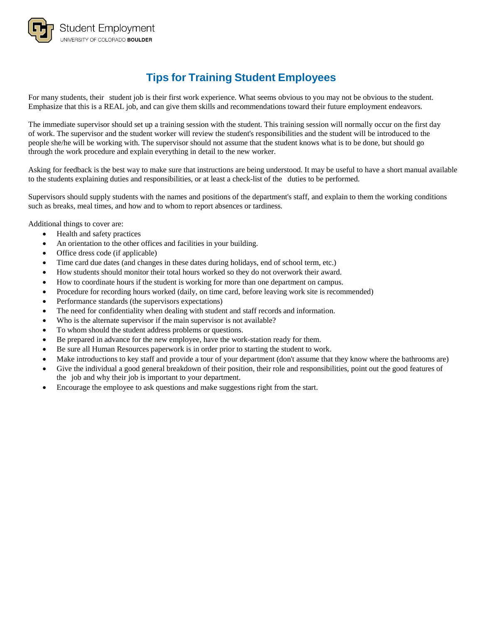

# **Tips for Training Student Employees**

For many students, their student job is their first work experience. What seems obvious to you may not be obvious to the student. Emphasize that this is a REAL job, and can give them skills and recommendations toward their future employment endeavors.

The immediate supervisor should set up a training session with the student. This training session will normally occur on the first day of work. The supervisor and the student worker will review the student's responsibilities and the student will be introduced to the people she/he will be working with. The supervisor should not assume that the student knows what is to be done, but should go through the work procedure and explain everything in detail to the new worker.

Asking for feedback is the best way to make sure that instructions are being understood. It may be useful to have a short manual available to the students explaining duties and responsibilities, or at least a check-list of the duties to be performed.

Supervisors should supply students with the names and positions of the department's staff, and explain to them the working conditions such as breaks, meal times, and how and to whom to report absences or tardiness.

Additional things to cover are:

- Health and safety practices
- An orientation to the other offices and facilities in your building.
- Office dress code (if applicable)
- Time card due dates (and changes in these dates during holidays, end of school term, etc.)
- How students should monitor their total hours worked so they do not overwork their award.
- How to coordinate hours if the student is working for more than one department on campus.
- Procedure for recording hours worked (daily, on time card, before leaving work site is recommended)
- Performance standards (the supervisors expectations)
- The need for confidentiality when dealing with student and staff records and information.
- Who is the alternate supervisor if the main supervisor is not available?
- To whom should the student address problems or questions.
- Be prepared in advance for the new employee, have the work-station ready for them.
- Be sure all Human Resources paperwork is in order prior to starting the student to work.
- Make introductions to key staff and provide a tour of your department (don't assume that they know where the bathrooms are)
- Give the individual a good general breakdown of their position, their role and responsibilities, point out the good features of the job and why their job is important to your department.
- Encourage the employee to ask questions and make suggestions right from the start.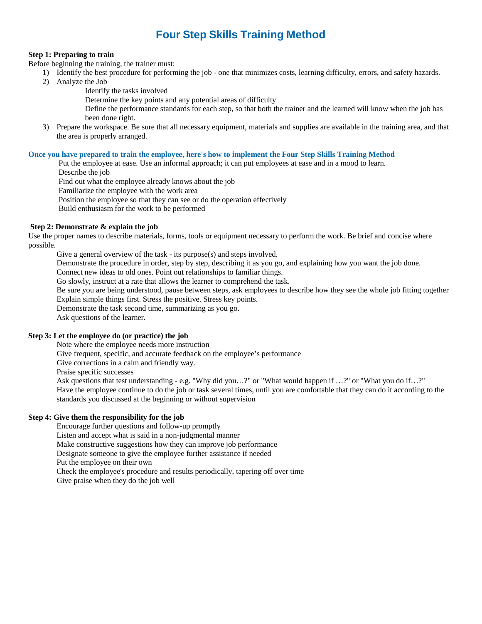# **Four Step Skills Training Method**

### **Step 1: Preparing to train**

Before beginning the training, the trainer must:

- 1) Identify the best procedure for performing the job one that minimizes costs, learning difficulty, errors, and safety hazards.
	- 2) Analyze the Job
		- Identify the tasks involved

Determine the key points and any potential areas of difficulty

- Define the performance standards for each step, so that both the trainer and the learned will know when the job has been done right.
- 3) Prepare the workspace. Be sure that all necessary equipment, materials and supplies are available in the training area, and that the area is properly arranged.

#### **Once you have prepared to train the employee, here's how to implement the Four Step Skills Training Method**

Put the employee at ease. Use an informal approach; it can put employees at ease and in a mood to learn.

Describe the job

Find out what the employee already knows about the job

Familiarize the employee with the work area

Position the employee so that they can see or do the operation effectively

Build enthusiasm for the work to be performed

## **Step 2: Demonstrate & explain the job**

Use the proper names to describe materials, forms, tools or equipment necessary to perform the work. Be brief and concise where possible.

Give a general overview of the task - its purpose(s) and steps involved.

Demonstrate the procedure in order, step by step, describing it as you go, and explaining how you want the job done.

Connect new ideas to old ones. Point out relationships to familiar things.

Go slowly, instruct at a rate that allows the learner to comprehend the task.

Be sure you are being understood, pause between steps, ask employees to describe how they see the whole job fitting together Explain simple things first. Stress the positive. Stress key points.

Demonstrate the task second time, summarizing as you go.

Ask questions of the learner.

### **Step 3: Let the employee do (or practice) the job**

Note where the employee needs more instruction

Give frequent, specific, and accurate feedback on the employee's performance

Give corrections in a calm and friendly way.

Praise specific successes

Ask questions that test understanding - e.g. "Why did you…?" or "What would happen if …?" or "What you do if…?" Have the employee continue to do the job or task several times, until you are comfortable that they can do it according to the standards you discussed at the beginning or without supervision

### **Step 4: Give them the responsibility for the job**

Encourage further questions and follow-up promptly

Listen and accept what is said in a non-judgmental manner

Make constructive suggestions how they can improve job performance

Designate someone to give the employee further assistance if needed

Put the employee on their own

Check the employee's procedure and results periodically, tapering off over time

Give praise when they do the job well